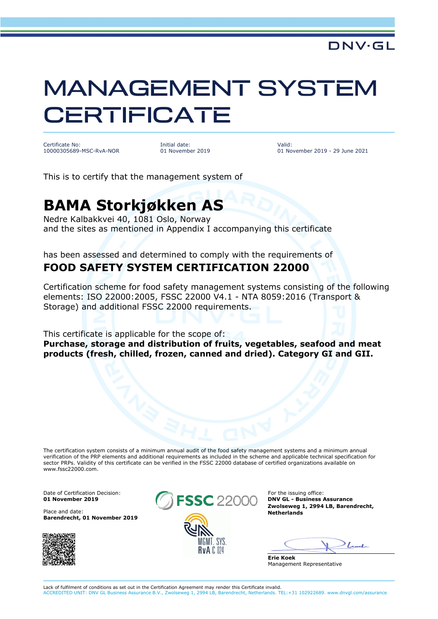# MANAGEMENT SYSTEM **CERTIFICATE**

Certificate No: 10000305689-MSC-RvA-NOR Initial date: 01 November 2019 Valid: 01 November 2019 - 29 June 2021

This is to certify that the management system of

## **BAMA Storkjøkken AS**

Nedre Kalbakkvei 40, 1081 Oslo, Norway and the sites as mentioned in Appendix I accompanying this certificate

#### has been assessed and determined to comply with the requirements of **FOOD SAFETY SYSTEM CERTIFICATION 22000**

Certification scheme for food safety management systems consisting of the following elements: ISO 22000:2005, FSSC 22000 V4.1 - NTA 8059:2016 (Transport & Storage) and additional FSSC 22000 requirements.

This certificate is applicable for the scope of:

**Purchase, storage and distribution of fruits, vegetables, seafood and meat products (fresh, chilled, frozen, canned and dried). Category GI and GII.**

The certification system consists of a minimum annual audit of the food safety management systems and a minimum annual verification of the PRP elements and additional requirements as included in the scheme and applicable technical specification for sector PRPs. Validity of this certificate can be verified in the FSSC 22000 database of certified organizations available on www.fssc22000.com.

**Barendrecht, 01 November 2019**





**DNV GL - Business Assurance Zwolseweg 1, 2994 LB, Barendrecht,** 

 $-1$ 

**Erie Koek** Management Representative

Lack of fulfilment of conditions as set out in the Certification Agreement may render this Certificate invalid. ACCREDITED UNIT: DNV GL Business Assurance B.V., Zwolseweg 1, 2994 LB, Barendrecht, Netherlands. TEL:+31 102922689. www.dnvgl.com/assurance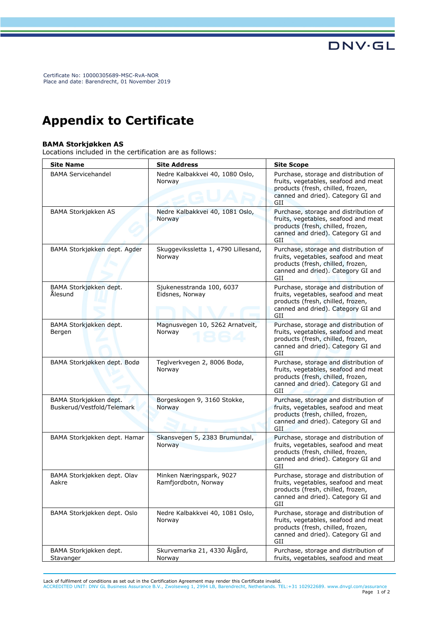Certificate No: 10000305689-MSC-RvA-NOR Place and date: Barendrecht, 01 November 2019

### **Appendix to Certificate**

#### **BAMA Storkjøkken AS**

Locations included in the certification are as follows:

| <b>Site Name</b>                                     | <b>Site Address</b>                              | <b>Site Scope</b>                                                                                                                                               |
|------------------------------------------------------|--------------------------------------------------|-----------------------------------------------------------------------------------------------------------------------------------------------------------------|
| <b>BAMA Servicehandel</b>                            | Nedre Kalbakkvei 40, 1080 Oslo,<br>Norway        | Purchase, storage and distribution of<br>fruits, vegetables, seafood and meat<br>products (fresh, chilled, frozen,<br>canned and dried). Category GI and<br>GII |
| BAMA Storkjøkken AS                                  | Nedre Kalbakkvei 40, 1081 Oslo,<br>Norway        | Purchase, storage and distribution of<br>fruits, vegetables, seafood and meat<br>products (fresh, chilled, frozen,<br>canned and dried). Category GI and<br>GII |
| BAMA Storkjøkken dept. Agder                         | Skuggevikssletta 1, 4790 Lillesand,<br>Norway    | Purchase, storage and distribution of<br>fruits, vegetables, seafood and meat<br>products (fresh, chilled, frozen,<br>canned and dried). Category GI and<br>GII |
| BAMA Storkjøkken dept.<br>Ålesund                    | Sjukenesstranda 100, 6037<br>Eidsnes, Norway     | Purchase, storage and distribution of<br>fruits, vegetables, seafood and meat<br>products (fresh, chilled, frozen,<br>canned and dried). Category GI and<br>GII |
| BAMA Storkjøkken dept.<br>Bergen                     | Magnusvegen 10, 5262 Arnatveit,<br>Norway        | Purchase, storage and distribution of<br>fruits, vegetables, seafood and meat<br>products (fresh, chilled, frozen,<br>canned and dried). Category GI and<br>GII |
| BAMA Storkjøkken dept. Bodø                          | Teglverkvegen 2, 8006 Bodø,<br>Norway            | Purchase, storage and distribution of<br>fruits, vegetables, seafood and meat<br>products (fresh, chilled, frozen,<br>canned and dried). Category GI and<br>GII |
| BAMA Storkjøkken dept.<br>Buskerud/Vestfold/Telemark | Borgeskogen 9, 3160 Stokke,<br>Norway            | Purchase, storage and distribution of<br>fruits, vegetables, seafood and meat<br>products (fresh, chilled, frozen,<br>canned and dried). Category GI and<br>GII |
| BAMA Storkjøkken dept. Hamar                         | Skansvegen 5, 2383 Brumundal,<br>Norway          | Purchase, storage and distribution of<br>fruits, vegetables, seafood and meat<br>products (fresh, chilled, frozen,<br>canned and dried). Category GI and<br>GII |
| BAMA Storkjøkken dept. Olav<br>Aakre                 | Minken Næringspark, 9027<br>Ramfjordbotn, Norway | Purchase, storage and distribution of<br>fruits, vegetables, seafood and meat<br>products (fresh, chilled, frozen,<br>canned and dried). Category GI and<br>GII |
| BAMA Storkjøkken dept. Oslo                          | Nedre Kalbakkvei 40, 1081 Oslo,<br>Norway        | Purchase, storage and distribution of<br>fruits, vegetables, seafood and meat<br>products (fresh, chilled, frozen,<br>canned and dried). Category GI and<br>GII |
| BAMA Storkjøkken dept.<br>Stavanger                  | Skurvemarka 21, 4330 Ålgård,<br>Norway           | Purchase, storage and distribution of<br>fruits, vegetables, seafood and meat                                                                                   |

**DNV·GL** 

Lack of fulfilment of conditions as set out in the Certification Agreement may render this Certificate invalid.<br>ACCREDITED UNIT: DNV GL Business Assurance B.V., Zwolseweg 1, 2994 LB, Barendrecht, Netherlands. TEL:+31 10292 Page 1 of 2